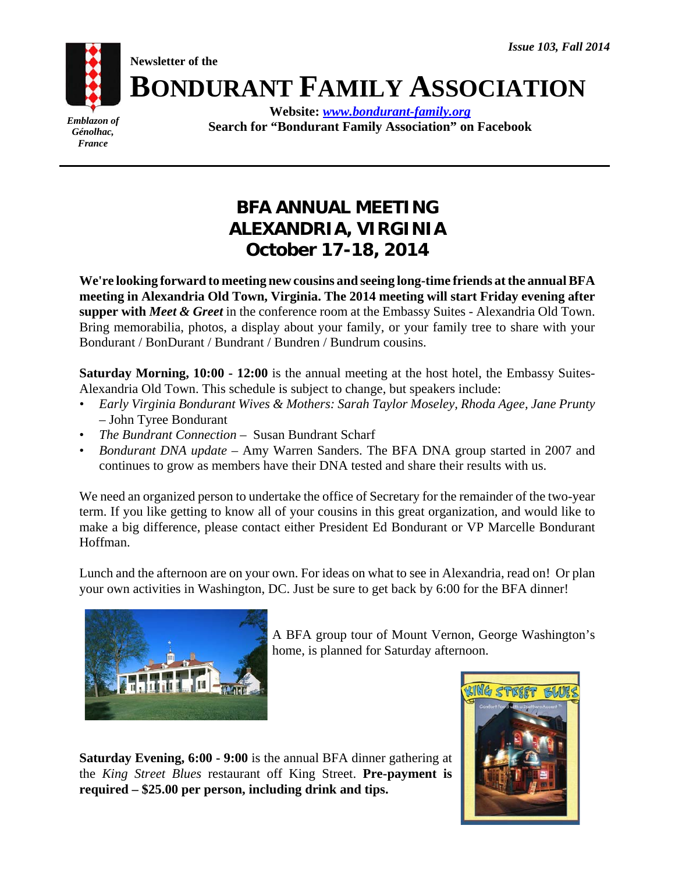**Newsletter of the**



**Website:** *www.bondurant-family.org* **Search for "Bondurant Family Association" on Facebook**

**BONDURANT FAMILY ASSOCIATION**

# **BFA ANNUAL MEETING ALEXANDRIA, VIRGINIA October 17-18, 2014**

**We're looking forward to meeting new cousins and seeing long-time friends at the annual BFA meeting in Alexandria Old Town, Virginia. The 2014 meeting will start Friday evening after supper with** *Meet & Greet* in the conference room at the Embassy Suites - Alexandria Old Town. Bring memorabilia, photos, a display about your family, or your family tree to share with your Bondurant / BonDurant / Bundrant / Bundren / Bundrum cousins.

**Saturday Morning, 10:00 - 12:00** is the annual meeting at the host hotel, the Embassy Suites-Alexandria Old Town. This schedule is subject to change, but speakers include:

- *Early Virginia Bondurant Wives & Mothers: Sarah Taylor Moseley, Rhoda Agee, Jane Prunty* – John Tyree Bondurant
- *The Bundrant Connection*  Susan Bundrant Scharf
- *Bondurant DNA update*  Amy Warren Sanders. The BFA DNA group started in 2007 and continues to grow as members have their DNA tested and share their results with us.

We need an organized person to undertake the office of Secretary for the remainder of the two-year term. If you like getting to know all of your cousins in this great organization, and would like to make a big difference, please contact either President Ed Bondurant or VP Marcelle Bondurant Hoffman.

Lunch and the afternoon are on your own. For ideas on what to see in Alexandria, read on! Or plan your own activities in Washington, DC. Just be sure to get back by 6:00 for the BFA dinner!



A BFA group tour of Mount Vernon, George Washington's home, is planned for Saturday afternoon.

**Saturday Evening, 6:00 - 9:00** is the annual BFA dinner gathering at the *King Street Blues* restaurant off King Street. **Pre-payment is required – \$25.00 per person, including drink and tips.** 

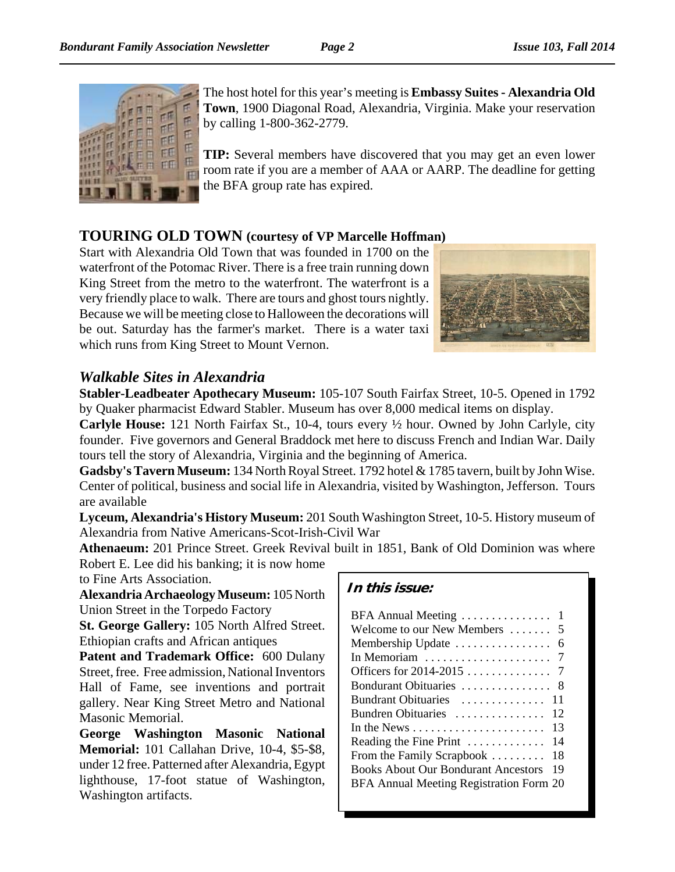

The host hotel for this year's meeting is **Embassy Suites - Alexandria Old Town**, 1900 Diagonal Road, Alexandria, Virginia. Make your reservation by calling 1-800-362-2779.

**TIP:** Several members have discovered that you may get an even lower room rate if you are a member of AAA or AARP. The deadline for getting the BFA group rate has expired.

### **TOURING OLD TOWN (courtesy of VP Marcelle Hoffman)**

Start with Alexandria Old Town that was founded in 1700 on the waterfront of the Potomac River. There is a free train running down King Street from the metro to the waterfront. The waterfront is a very friendly place to walk. There are tours and ghost tours nightly. Because we will be meeting close to Halloween the decorations will be out. Saturday has the farmer's market. There is a water taxi which runs from King Street to Mount Vernon.



### *Walkable Sites in Alexandria*

**Stabler-Leadbeater Apothecary Museum:** 105-107 South Fairfax Street, 10-5. Opened in 1792 by Quaker pharmacist Edward Stabler. Museum has over 8,000 medical items on display.

**Carlyle House:** 121 North Fairfax St., 10-4, tours every ½ hour. Owned by John Carlyle, city founder. Five governors and General Braddock met here to discuss French and Indian War. Daily tours tell the story of Alexandria, Virginia and the beginning of America.

**Gadsby's Tavern Museum:** 134 North Royal Street. 1792 hotel & 1785 tavern, built by John Wise. Center of political, business and social life in Alexandria, visited by Washington, Jefferson. Tours are available

**Lyceum, Alexandria's History Museum:** 201 South Washington Street, 10-5. History museum of Alexandria from Native Americans-Scot-Irish-Civil War

**Athenaeum:** 201 Prince Street. Greek Revival built in 1851, Bank of Old Dominion was where Robert E. Lee did his banking; it is now home

to Fine Arts Association.

**Alexandria Archaeology Museum:** 105 North Union Street in the Torpedo Factory

**St. George Gallery:** 105 North Alfred Street. Ethiopian crafts and African antiques

**Patent and Trademark Office:** 600 Dulany Street, free. Free admission, National Inventors Hall of Fame, see inventions and portrait gallery. Near King Street Metro and National Masonic Memorial.

**George Washington Masonic National Memorial:** 101 Callahan Drive, 10-4, \$5-\$8, under 12 free. Patterned after Alexandria, Egypt lighthouse, 17-foot statue of Washington, Washington artifacts.

### **In this issue:**

| BFA Annual Meeting  1                                     |
|-----------------------------------------------------------|
| Welcome to our New Members  5                             |
|                                                           |
| In Memoriam $\ldots \ldots \ldots \ldots \ldots \ldots$ 7 |
|                                                           |
| Bondurant Obituaries<br>- 8                               |
| Bundrant Obituaries<br>11                                 |
| Bundren Obituaries<br>12                                  |
| 13                                                        |
| Reading the Fine Print<br>14                              |
| From the Family Scrapbook<br>18                           |
| <b>Books About Our Bondurant Ancestors</b><br>19          |
| BFA Annual Meeting Registration Form 20                   |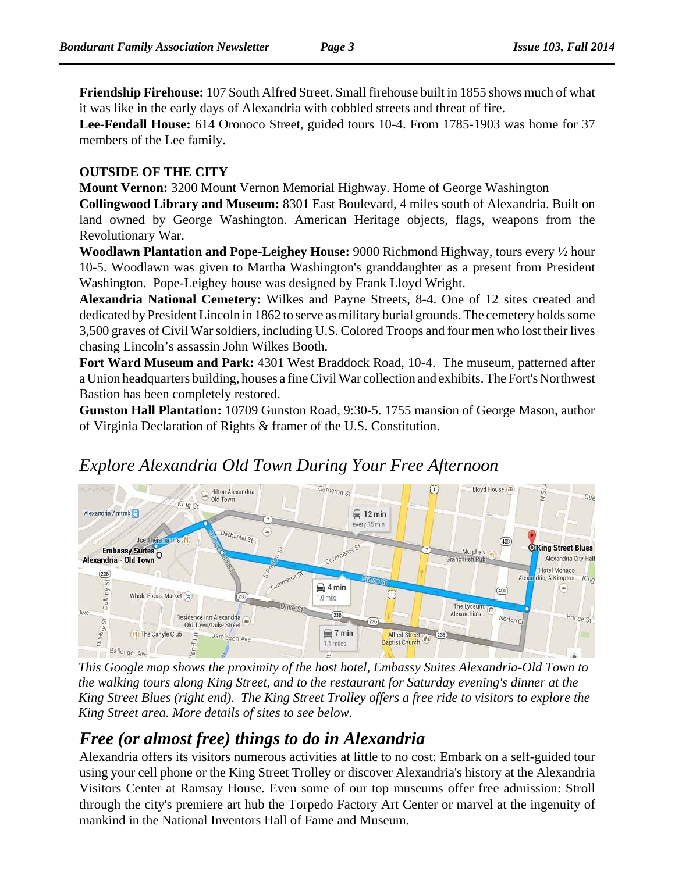**Friendship Firehouse:** 107 South Alfred Street. Small firehouse built in 1855 shows much of what it was like in the early days of Alexandria with cobbled streets and threat of fire.

**Lee-Fendall House:** 614 Oronoco Street, guided tours 10-4. From 1785-1903 was home for 37 members of the Lee family.

#### **OUTSIDE OF THE CITY**

**Mount Vernon:** 3200 Mount Vernon Memorial Highway. Home of George Washington

**Collingwood Library and Museum:** 8301 East Boulevard, 4 miles south of Alexandria. Built on land owned by George Washington. American Heritage objects, flags, weapons from the Revolutionary War.

**Woodlawn Plantation and Pope-Leighey House:** 9000 Richmond Highway, tours every ½ hour 10-5. Woodlawn was given to Martha Washington's granddaughter as a present from President Washington. Pope-Leighey house was designed by Frank Lloyd Wright.

**Alexandria National Cemetery:** Wilkes and Payne Streets, 8-4. One of 12 sites created and dedicated by President Lincoln in 1862 to serve as military burial grounds. The cemetery holds some 3,500 graves of Civil War soldiers, including U.S. Colored Troops and four men who lost their lives chasing Lincoln's assassin John Wilkes Booth.

**Fort Ward Museum and Park:** 4301 West Braddock Road, 10-4. The museum, patterned after a Union headquarters building, houses a fine Civil War collection and exhibits. The Fort's Northwest Bastion has been completely restored.

**Gunston Hall Plantation:** 10709 Gunston Road, 9:30-5. 1755 mansion of George Mason, author of Virginia Declaration of Rights & framer of the U.S. Constitution.



# *Explore Alexandria Old Town During Your Free Afternoon*

*This Google map shows the proximity of the host hotel, Embassy Suites Alexandria-Old Town to the walking tours along King Street, and to the restaurant for Saturday evening's dinner at the King Street Blues (right end). The King Street Trolley offers a free ride to visitors to explore the King Street area. More details of sites to see below.*

## *Free (or almost free) things to do in Alexandria*

Alexandria offers its visitors numerous activities at little to no cost: Embark on a self-guided tour using your cell phone or the King Street Trolley or discover Alexandria's history at the Alexandria Visitors Center at Ramsay House. Even some of our top museums offer free admission: Stroll through the city's premiere art hub the Torpedo Factory Art Center or marvel at the ingenuity of mankind in the National Inventors Hall of Fame and Museum.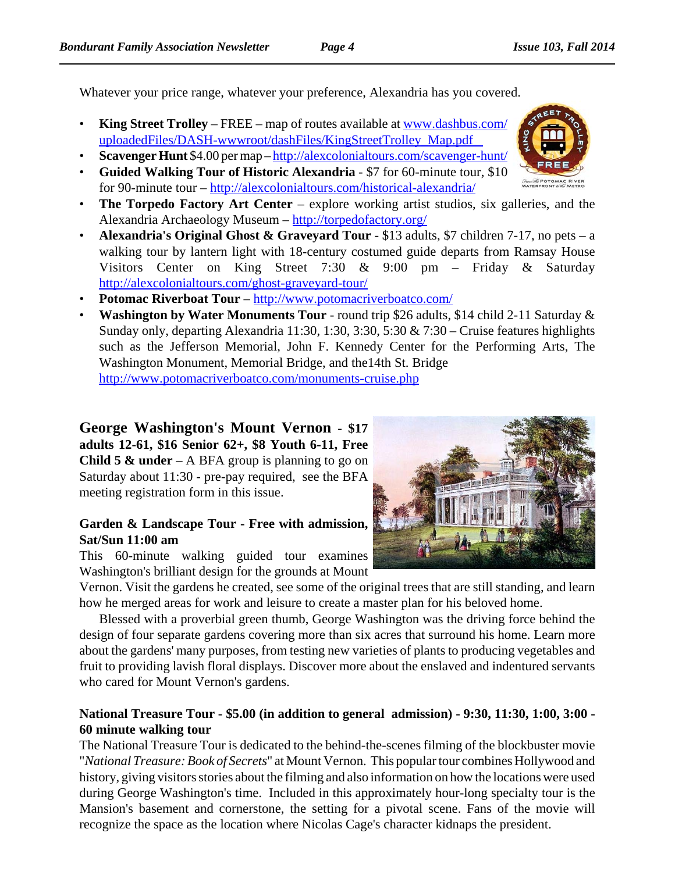Whatever your price range, whatever your preference, Alexandria has you covered.

- **King Street Trolley**  FREE map of routes available at www.dashbus.com/ uploadedFiles/DASH-wwwroot/dashFiles/KingStreetTrolley\_Map.pdf
- **Scavenger Hunt** \$4.00 per map http://alexcolonialtours.com/scavenger-hunt/
- **Guided Walking Tour of Historic Alexandria**  \$7 for 60-minute tour, \$10 for 90-minute tour – http://alexcolonialtours.com/historical-alexandria/
- **The Torpedo Factory Art Center**  explore working artist studios, six galleries, and the Alexandria Archaeology Museum – http://torpedofactory.org/
- **Alexandria's Original Ghost & Graveyard Tour**  \$13 adults, \$7 children 7-17, no pets a walking tour by lantern light with 18-century costumed guide departs from Ramsay House Visitors Center on King Street 7:30 & 9:00 pm – Friday & Saturday http://alexcolonialtours.com/ghost-graveyard-tour/
- **Potomac Riverboat Tour**  http://www.potomacriverboatco.com/
- **Washington by Water Monuments Tour** round trip \$26 adults, \$14 child 2-11 Saturday & Sunday only, departing Alexandria 11:30, 1:30, 3:30, 5:30  $& 7:30 -$ Cruise features highlights such as the Jefferson Memorial, John F. Kennedy Center for the Performing Arts, The Washington Monument, Memorial Bridge, and the14th St. Bridge http://www.potomacriverboatco.com/monuments-cruise.php

**George Washington's Mount Vernon - \$17 adults 12-61, \$16 Senior 62+, \$8 Youth 6-11, Free Child 5 & under** – A BFA group is planning to go on Saturday about 11:30 - pre-pay required, see the BFA meeting registration form in this issue.

#### **Garden & Landscape Tour - Free with admission, Sat/Sun 11:00 am**

This 60-minute walking guided tour examines Washington's brilliant design for the grounds at Mount

Vernon. Visit the gardens he created, see some of the original trees that are still standing, and learn how he merged areas for work and leisure to create a master plan for his beloved home.

Blessed with a proverbial green thumb, George Washington was the driving force behind the design of four separate gardens covering more than six acres that surround his home. Learn more about the gardens' many purposes, from testing new varieties of plants to producing vegetables and fruit to providing lavish floral displays. Discover more about the enslaved and indentured servants who cared for Mount Vernon's gardens.

#### **National Treasure Tour - \$5.00 (in addition to general admission) - 9:30, 11:30, 1:00, 3:00 - 60 minute walking tour**

The National Treasure Tour is dedicated to the behind-the-scenes filming of the blockbuster movie "*National Treasure: Book of Secrets*" at Mount Vernon. This popular tour combines Hollywood and history, giving visitors stories about the filming and also information on how the locations were used during George Washington's time. Included in this approximately hour-long specialty tour is the Mansion's basement and cornerstone, the setting for a pivotal scene. Fans of the movie will recognize the space as the location where Nicolas Cage's character kidnaps the president.



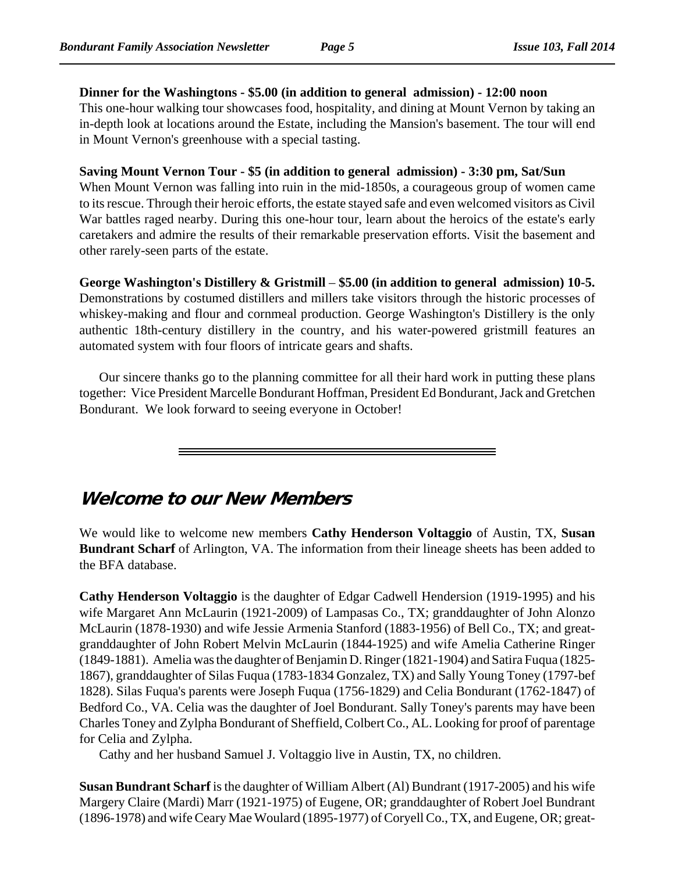#### **Dinner for the Washingtons - \$5.00 (in addition to general admission) - 12:00 noon**

This one-hour walking tour showcases food, hospitality, and dining at Mount Vernon by taking an in-depth look at locations around the Estate, including the Mansion's basement. The tour will end in Mount Vernon's greenhouse with a special tasting.

#### **Saving Mount Vernon Tour - \$5 (in addition to general admission) - 3:30 pm, Sat/Sun**

When Mount Vernon was falling into ruin in the mid-1850s, a courageous group of women came to its rescue. Through their heroic efforts, the estate stayed safe and even welcomed visitors as Civil War battles raged nearby. During this one-hour tour, learn about the heroics of the estate's early caretakers and admire the results of their remarkable preservation efforts. Visit the basement and other rarely-seen parts of the estate.

#### **George Washington's Distillery & Gristmill** – **\$5.00 (in addition to general admission) 10-5.**

Demonstrations by costumed distillers and millers take visitors through the historic processes of whiskey-making and flour and cornmeal production. George Washington's Distillery is the only authentic 18th-century distillery in the country, and his water-powered gristmill features an automated system with four floors of intricate gears and shafts.

Our sincere thanks go to the planning committee for all their hard work in putting these plans together: Vice President Marcelle Bondurant Hoffman, President Ed Bondurant, Jack and Gretchen Bondurant. We look forward to seeing everyone in October!

## **Welcome to our New Members**

We would like to welcome new members **Cathy Henderson Voltaggio** of Austin, TX, **Susan Bundrant Scharf** of Arlington, VA. The information from their lineage sheets has been added to the BFA database.

**Cathy Henderson Voltaggio** is the daughter of Edgar Cadwell Hendersion (1919-1995) and his wife Margaret Ann McLaurin (1921-2009) of Lampasas Co., TX; granddaughter of John Alonzo McLaurin (1878-1930) and wife Jessie Armenia Stanford (1883-1956) of Bell Co., TX; and greatgranddaughter of John Robert Melvin McLaurin (1844-1925) and wife Amelia Catherine Ringer (1849-1881). Amelia was the daughter of Benjamin D. Ringer (1821-1904) and Satira Fuqua (1825- 1867), granddaughter of Silas Fuqua (1783-1834 Gonzalez, TX) and Sally Young Toney (1797-bef 1828). Silas Fuqua's parents were Joseph Fuqua (1756-1829) and Celia Bondurant (1762-1847) of Bedford Co., VA. Celia was the daughter of Joel Bondurant. Sally Toney's parents may have been Charles Toney and Zylpha Bondurant of Sheffield, Colbert Co., AL. Looking for proof of parentage for Celia and Zylpha.

Cathy and her husband Samuel J. Voltaggio live in Austin, TX, no children.

**Susan Bundrant Scharf** is the daughter of William Albert (Al) Bundrant (1917-2005) and his wife Margery Claire (Mardi) Marr (1921-1975) of Eugene, OR; granddaughter of Robert Joel Bundrant (1896-1978) and wife Ceary Mae Woulard (1895-1977) of Coryell Co., TX, and Eugene, OR; great-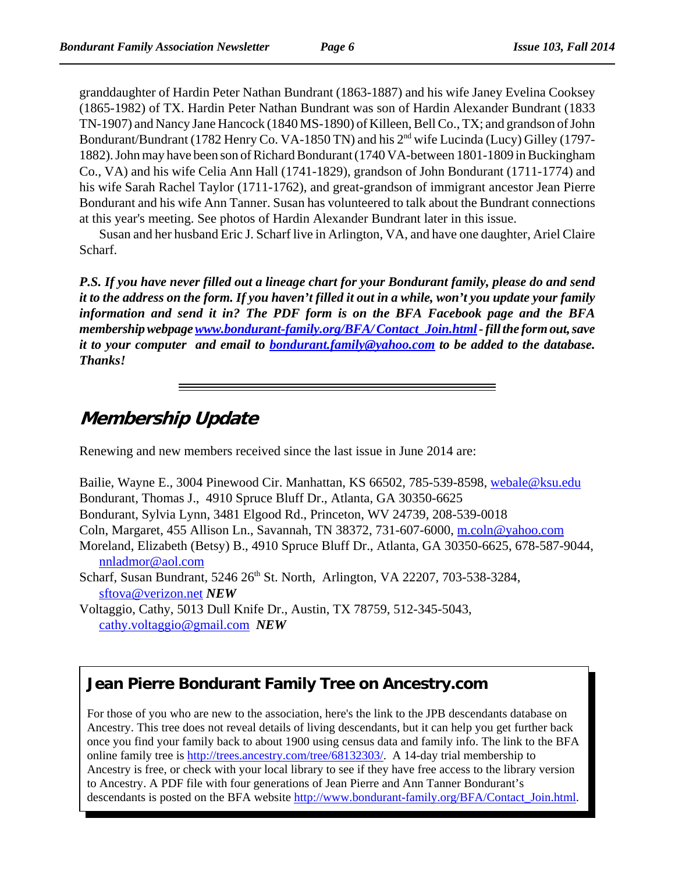granddaughter of Hardin Peter Nathan Bundrant (1863-1887) and his wife Janey Evelina Cooksey (1865-1982) of TX. Hardin Peter Nathan Bundrant was son of Hardin Alexander Bundrant (1833 TN-1907) and Nancy Jane Hancock (1840 MS-1890) of Killeen, Bell Co., TX; and grandson of John Bondurant/Bundrant (1782 Henry Co. VA-1850 TN) and his 2<sup>nd</sup> wife Lucinda (Lucy) Gilley (1797-1882). John may have been son of Richard Bondurant (1740 VA-between 1801-1809 in Buckingham Co., VA) and his wife Celia Ann Hall (1741-1829), grandson of John Bondurant (1711-1774) and his wife Sarah Rachel Taylor (1711-1762), and great-grandson of immigrant ancestor Jean Pierre Bondurant and his wife Ann Tanner. Susan has volunteered to talk about the Bundrant connections at this year's meeting. See photos of Hardin Alexander Bundrant later in this issue.

Susan and her husband Eric J. Scharf live in Arlington, VA, and have one daughter, Ariel Claire Scharf.

*P.S. If you have never filled out a lineage chart for your Bondurant family, please do and send it to the address on the form. If you haven't filled it out in a while, won't you update your family information and send it in? The PDF form is on the BFA Facebook page and the BFA membership webpage www.bondurant-family.org/BFA/ Contact\_Join.html - fill the form out, save it to your computer and email to bondurant.family@yahoo.com to be added to the database. Thanks!*

# **Membership Update**

Renewing and new members received since the last issue in June 2014 are:

Bailie, Wayne E., 3004 Pinewood Cir. Manhattan, KS 66502, 785-539-8598, webale@ksu.edu Bondurant, Thomas J., 4910 Spruce Bluff Dr., Atlanta, GA 30350-6625 Bondurant, Sylvia Lynn, 3481 Elgood Rd., Princeton, WV 24739, 208-539-0018 Coln, Margaret, 455 Allison Ln., Savannah, TN 38372, 731-607-6000, m.coln@yahoo.com Moreland, Elizabeth (Betsy) B., 4910 Spruce Bluff Dr., Atlanta, GA 30350-6625, 678-587-9044, nnladmor@aol.com Scharf, Susan Bundrant, 5246 26<sup>th</sup> St. North, Arlington, VA 22207, 703-538-3284, sftova@verizon.net *NEW*

Voltaggio, Cathy, 5013 Dull Knife Dr., Austin, TX 78759, 512-345-5043, cathy.voltaggio@gmail.com *NEW*

# **Jean Pierre Bondurant Family Tree on Ancestry.com**

For those of you who are new to the association, here's the link to the JPB descendants database on Ancestry. This tree does not reveal details of living descendants, but it can help you get further back once you find your family back to about 1900 using census data and family info. The link to the BFA online family tree is http://trees.ancestry.com/tree/68132303/. A 14-day trial membership to Ancestry is free, or check with your local library to see if they have free access to the library version to Ancestry. A PDF file with four generations of Jean Pierre and Ann Tanner Bondurant's descendants is posted on the BFA website http://www.bondurant-family.org/BFA/Contact\_Join.html.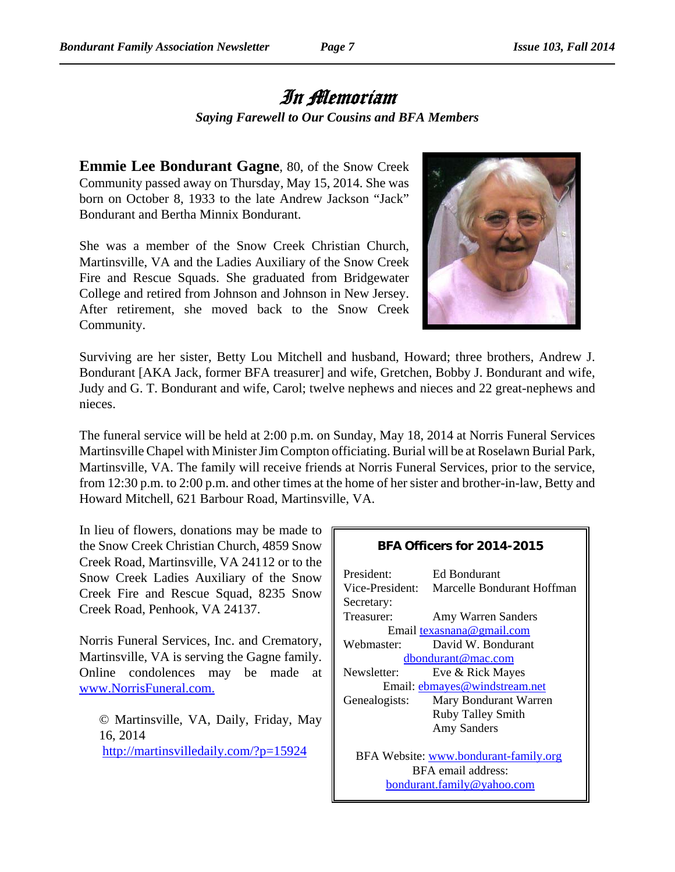# In Memoriam *Saying Farewell to Our Cousins and BFA Members*

**Emmie Lee Bondurant Gagne**, 80, of the Snow Creek Community passed away on Thursday, May 15, 2014. She was born on October 8, 1933 to the late Andrew Jackson "Jack" Bondurant and Bertha Minnix Bondurant.

She was a member of the Snow Creek Christian Church, Martinsville, VA and the Ladies Auxiliary of the Snow Creek Fire and Rescue Squads. She graduated from Bridgewater College and retired from Johnson and Johnson in New Jersey. After retirement, she moved back to the Snow Creek Community.



Surviving are her sister, Betty Lou Mitchell and husband, Howard; three brothers, Andrew J. Bondurant [AKA Jack, former BFA treasurer] and wife, Gretchen, Bobby J. Bondurant and wife, Judy and G. T. Bondurant and wife, Carol; twelve nephews and nieces and 22 great-nephews and nieces.

The funeral service will be held at 2:00 p.m. on Sunday, May 18, 2014 at Norris Funeral Services Martinsville Chapel with Minister Jim Compton officiating. Burial will be at Roselawn Burial Park, Martinsville, VA. The family will receive friends at Norris Funeral Services, prior to the service, from 12:30 p.m. to 2:00 p.m. and other times at the home of her sister and brother-in-law, Betty and Howard Mitchell, 621 Barbour Road, Martinsville, VA.

In lieu of flowers, donations may be made to the Snow Creek Christian Church, 4859 Snow Creek Road, Martinsville, VA 24112 or to the Snow Creek Ladies Auxiliary of the Snow Creek Fire and Rescue Squad, 8235 Snow Creek Road, Penhook, VA 24137.

Norris Funeral Services, Inc. and Crematory, Martinsville, VA is serving the Gagne family. Online condolences may be made at www.NorrisFuneral.com.

© Martinsville, VA, Daily, Friday, May 16, 2014 http://martinsvilledaily.com/?p=15924

#### **BFA Officers for 2014-2015**

| President <sup>.</sup> | Ed Bondurant                          |
|------------------------|---------------------------------------|
| Vice-President:        | Marcelle Bondurant Hoffman            |
| Secretary:             |                                       |
| Treasurer:             | Amy Warren Sanders                    |
|                        | Email texasnana@gmail.com             |
| Webmaster:             | David W. Bondurant                    |
|                        | dbondurant@mac.com                    |
| Newsletter:            | Eve & Rick Mayes                      |
|                        | Email: ebmayes@windstream.net         |
| Genealogists:          | Mary Bondurant Warren                 |
|                        | <b>Ruby Talley Smith</b>              |
|                        | <b>Amy Sanders</b>                    |
|                        |                                       |
|                        | BFA Website: www.bondurant-family.org |
|                        | BFA email address:                    |
|                        | bondurant.family@yahoo.com            |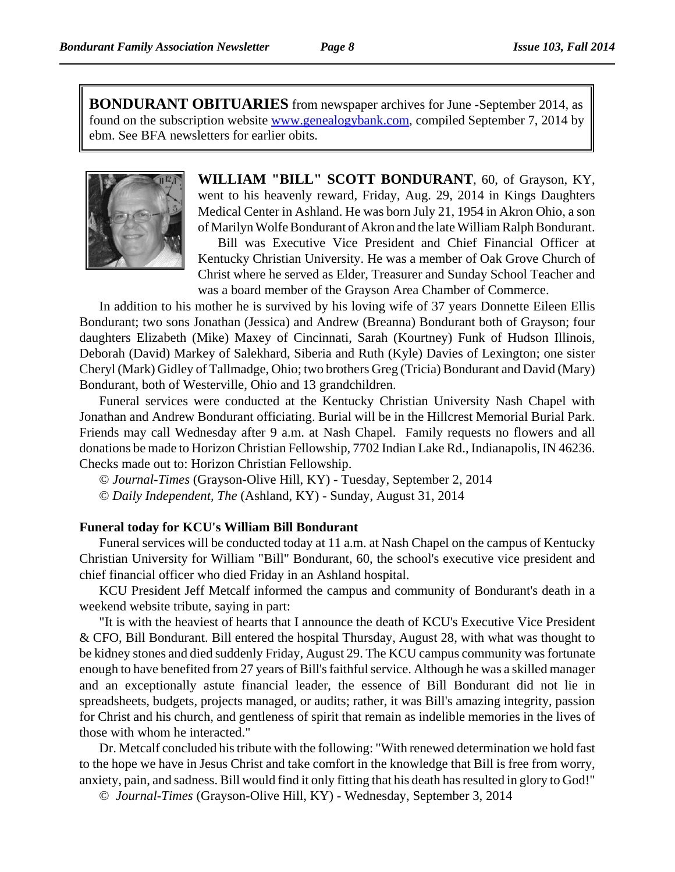**BONDURANT OBITUARIES** from newspaper archives for June -September 2014, as found on the subscription website www.genealogybank.com, compiled September 7, 2014 by ebm. See BFA newsletters for earlier obits.



**WILLIAM "BILL" SCOTT BONDURANT**, 60, of Grayson, KY, went to his heavenly reward, Friday, Aug. 29, 2014 in Kings Daughters Medical Center in Ashland. He was born July 21, 1954 in Akron Ohio, a son of Marilyn Wolfe Bondurant of Akron and the late William Ralph Bondurant.

Bill was Executive Vice President and Chief Financial Officer at Kentucky Christian University. He was a member of Oak Grove Church of Christ where he served as Elder, Treasurer and Sunday School Teacher and was a board member of the Grayson Area Chamber of Commerce.

In addition to his mother he is survived by his loving wife of 37 years Donnette Eileen Ellis Bondurant; two sons Jonathan (Jessica) and Andrew (Breanna) Bondurant both of Grayson; four daughters Elizabeth (Mike) Maxey of Cincinnati, Sarah (Kourtney) Funk of Hudson Illinois, Deborah (David) Markey of Salekhard, Siberia and Ruth (Kyle) Davies of Lexington; one sister Cheryl (Mark) Gidley of Tallmadge, Ohio; two brothers Greg (Tricia) Bondurant and David (Mary) Bondurant, both of Westerville, Ohio and 13 grandchildren.

Funeral services were conducted at the Kentucky Christian University Nash Chapel with Jonathan and Andrew Bondurant officiating. Burial will be in the Hillcrest Memorial Burial Park. Friends may call Wednesday after 9 a.m. at Nash Chapel. Family requests no flowers and all donations be made to Horizon Christian Fellowship, 7702 Indian Lake Rd., Indianapolis, IN 46236. Checks made out to: Horizon Christian Fellowship.

© *Journal-Times* (Grayson-Olive Hill, KY) - Tuesday, September 2, 2014

© *Daily Independent, The* (Ashland, KY) - Sunday, August 31, 2014

#### **Funeral today for KCU's William Bill Bondurant**

Funeral services will be conducted today at 11 a.m. at Nash Chapel on the campus of Kentucky Christian University for William "Bill" Bondurant, 60, the school's executive vice president and chief financial officer who died Friday in an Ashland hospital.

KCU President Jeff Metcalf informed the campus and community of Bondurant's death in a weekend website tribute, saying in part:

"It is with the heaviest of hearts that I announce the death of KCU's Executive Vice President & CFO, Bill Bondurant. Bill entered the hospital Thursday, August 28, with what was thought to be kidney stones and died suddenly Friday, August 29. The KCU campus community was fortunate enough to have benefited from 27 years of Bill's faithful service. Although he was a skilled manager and an exceptionally astute financial leader, the essence of Bill Bondurant did not lie in spreadsheets, budgets, projects managed, or audits; rather, it was Bill's amazing integrity, passion for Christ and his church, and gentleness of spirit that remain as indelible memories in the lives of those with whom he interacted."

Dr. Metcalf concluded his tribute with the following: "With renewed determination we hold fast to the hope we have in Jesus Christ and take comfort in the knowledge that Bill is free from worry, anxiety, pain, and sadness. Bill would find it only fitting that his death has resulted in glory to God!"

© *Journal-Times* (Grayson-Olive Hill, KY) - Wednesday, September 3, 2014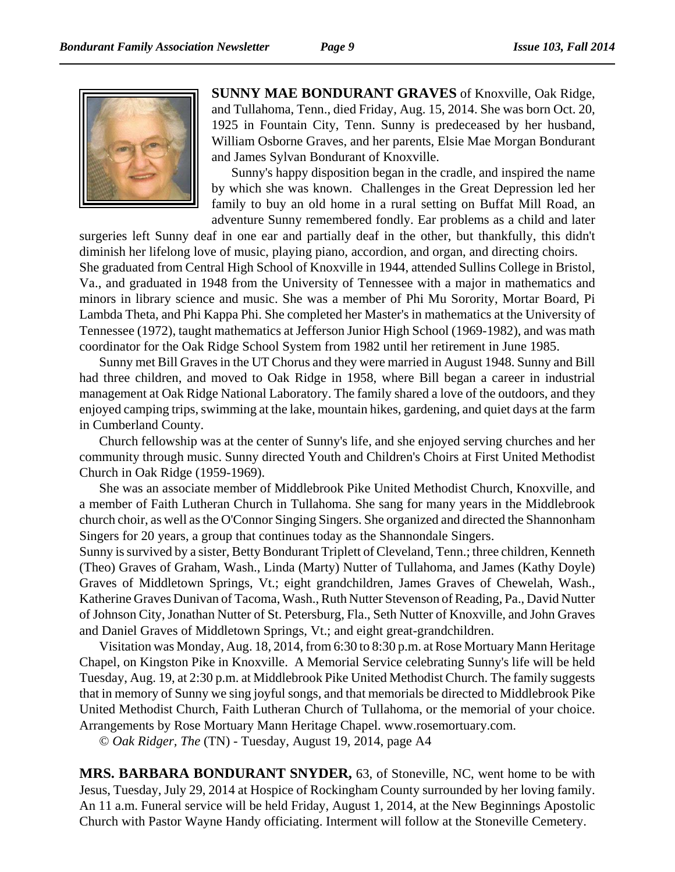

**SUNNY MAE BONDURANT GRAVES** of Knoxville, Oak Ridge, and Tullahoma, Tenn., died Friday, Aug. 15, 2014. She was born Oct. 20, 1925 in Fountain City, Tenn. Sunny is predeceased by her husband, William Osborne Graves, and her parents, Elsie Mae Morgan Bondurant and James Sylvan Bondurant of Knoxville.

Sunny's happy disposition began in the cradle, and inspired the name by which she was known. Challenges in the Great Depression led her family to buy an old home in a rural setting on Buffat Mill Road, an adventure Sunny remembered fondly. Ear problems as a child and later

surgeries left Sunny deaf in one ear and partially deaf in the other, but thankfully, this didn't diminish her lifelong love of music, playing piano, accordion, and organ, and directing choirs. She graduated from Central High School of Knoxville in 1944, attended Sullins College in Bristol, Va., and graduated in 1948 from the University of Tennessee with a major in mathematics and minors in library science and music. She was a member of Phi Mu Sorority, Mortar Board, Pi Lambda Theta, and Phi Kappa Phi. She completed her Master's in mathematics at the University of Tennessee (1972), taught mathematics at Jefferson Junior High School (1969-1982), and was math coordinator for the Oak Ridge School System from 1982 until her retirement in June 1985.

Sunny met Bill Graves in the UT Chorus and they were married in August 1948. Sunny and Bill had three children, and moved to Oak Ridge in 1958, where Bill began a career in industrial management at Oak Ridge National Laboratory. The family shared a love of the outdoors, and they enjoyed camping trips, swimming at the lake, mountain hikes, gardening, and quiet days at the farm in Cumberland County.

Church fellowship was at the center of Sunny's life, and she enjoyed serving churches and her community through music. Sunny directed Youth and Children's Choirs at First United Methodist Church in Oak Ridge (1959-1969).

She was an associate member of Middlebrook Pike United Methodist Church, Knoxville, and a member of Faith Lutheran Church in Tullahoma. She sang for many years in the Middlebrook church choir, as well as the O'Connor Singing Singers. She organized and directed the Shannonham Singers for 20 years, a group that continues today as the Shannondale Singers.

Sunny is survived by a sister, Betty Bondurant Triplett of Cleveland, Tenn.; three children, Kenneth (Theo) Graves of Graham, Wash., Linda (Marty) Nutter of Tullahoma, and James (Kathy Doyle) Graves of Middletown Springs, Vt.; eight grandchildren, James Graves of Chewelah, Wash., Katherine Graves Dunivan of Tacoma, Wash., Ruth Nutter Stevenson of Reading, Pa., David Nutter of Johnson City, Jonathan Nutter of St. Petersburg, Fla., Seth Nutter of Knoxville, and John Graves and Daniel Graves of Middletown Springs, Vt.; and eight great-grandchildren.

Visitation was Monday, Aug. 18, 2014, from 6:30 to 8:30 p.m. at Rose Mortuary Mann Heritage Chapel, on Kingston Pike in Knoxville. A Memorial Service celebrating Sunny's life will be held Tuesday, Aug. 19, at 2:30 p.m. at Middlebrook Pike United Methodist Church. The family suggests that in memory of Sunny we sing joyful songs, and that memorials be directed to Middlebrook Pike United Methodist Church, Faith Lutheran Church of Tullahoma, or the memorial of your choice. Arrangements by Rose Mortuary Mann Heritage Chapel. www.rosemortuary.com.

© *Oak Ridger, The* (TN) - Tuesday, August 19, 2014, page A4

**MRS. BARBARA BONDURANT SNYDER,** 63, of Stoneville, NC, went home to be with Jesus, Tuesday, July 29, 2014 at Hospice of Rockingham County surrounded by her loving family. An 11 a.m. Funeral service will be held Friday, August 1, 2014, at the New Beginnings Apostolic Church with Pastor Wayne Handy officiating. Interment will follow at the Stoneville Cemetery.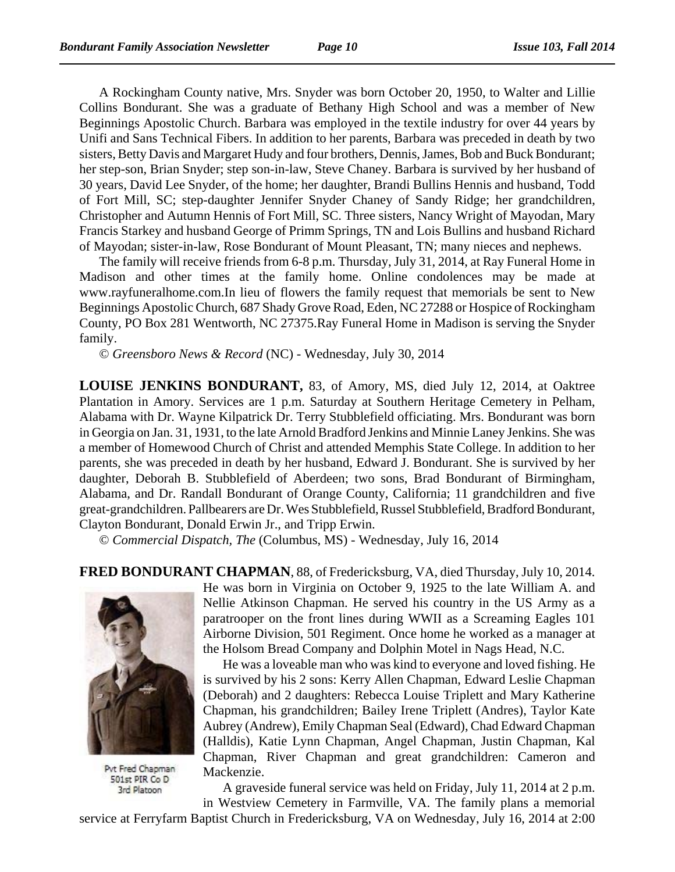A Rockingham County native, Mrs. Snyder was born October 20, 1950, to Walter and Lillie Collins Bondurant. She was a graduate of Bethany High School and was a member of New Beginnings Apostolic Church. Barbara was employed in the textile industry for over 44 years by Unifi and Sans Technical Fibers. In addition to her parents, Barbara was preceded in death by two sisters, Betty Davis and Margaret Hudy and four brothers, Dennis, James, Bob and Buck Bondurant; her step-son, Brian Snyder; step son-in-law, Steve Chaney. Barbara is survived by her husband of 30 years, David Lee Snyder, of the home; her daughter, Brandi Bullins Hennis and husband, Todd of Fort Mill, SC; step-daughter Jennifer Snyder Chaney of Sandy Ridge; her grandchildren, Christopher and Autumn Hennis of Fort Mill, SC. Three sisters, Nancy Wright of Mayodan, Mary Francis Starkey and husband George of Primm Springs, TN and Lois Bullins and husband Richard of Mayodan; sister-in-law, Rose Bondurant of Mount Pleasant, TN; many nieces and nephews.

The family will receive friends from 6-8 p.m. Thursday, July 31, 2014, at Ray Funeral Home in Madison and other times at the family home. Online condolences may be made at www.rayfuneralhome.com.In lieu of flowers the family request that memorials be sent to New Beginnings Apostolic Church, 687 Shady Grove Road, Eden, NC 27288 or Hospice of Rockingham County, PO Box 281 Wentworth, NC 27375.Ray Funeral Home in Madison is serving the Snyder family.

© *Greensboro News & Record* (NC) - Wednesday, July 30, 2014

**LOUISE JENKINS BONDURANT,** 83, of Amory, MS, died July 12, 2014, at Oaktree Plantation in Amory. Services are 1 p.m. Saturday at Southern Heritage Cemetery in Pelham, Alabama with Dr. Wayne Kilpatrick Dr. Terry Stubblefield officiating. Mrs. Bondurant was born in Georgia on Jan. 31, 1931, to the late Arnold Bradford Jenkins and Minnie Laney Jenkins. She was a member of Homewood Church of Christ and attended Memphis State College. In addition to her parents, she was preceded in death by her husband, Edward J. Bondurant. She is survived by her daughter, Deborah B. Stubblefield of Aberdeen; two sons, Brad Bondurant of Birmingham, Alabama, and Dr. Randall Bondurant of Orange County, California; 11 grandchildren and five great-grandchildren. Pallbearers are Dr. Wes Stubblefield, Russel Stubblefield, Bradford Bondurant, Clayton Bondurant, Donald Erwin Jr., and Tripp Erwin.

© *Commercial Dispatch, The* (Columbus, MS) - Wednesday, July 16, 2014

**FRED BONDURANT CHAPMAN**, 88, of Fredericksburg, VA, died Thursday, July 10, 2014.



Pvt Fred Chapman 501st PIR Co D 3rd Platoon

He was born in Virginia on October 9, 1925 to the late William A. and Nellie Atkinson Chapman. He served his country in the US Army as a paratrooper on the front lines during WWII as a Screaming Eagles 101 Airborne Division, 501 Regiment. Once home he worked as a manager at the Holsom Bread Company and Dolphin Motel in Nags Head, N.C.

He was a loveable man who was kind to everyone and loved fishing. He is survived by his 2 sons: Kerry Allen Chapman, Edward Leslie Chapman (Deborah) and 2 daughters: Rebecca Louise Triplett and Mary Katherine Chapman, his grandchildren; Bailey Irene Triplett (Andres), Taylor Kate Aubrey (Andrew), Emily Chapman Seal (Edward), Chad Edward Chapman (Halldis), Katie Lynn Chapman, Angel Chapman, Justin Chapman, Kal Chapman, River Chapman and great grandchildren: Cameron and Mackenzie.

A graveside funeral service was held on Friday, July 11, 2014 at 2 p.m. in Westview Cemetery in Farmville, VA. The family plans a memorial

service at Ferryfarm Baptist Church in Fredericksburg, VA on Wednesday, July 16, 2014 at 2:00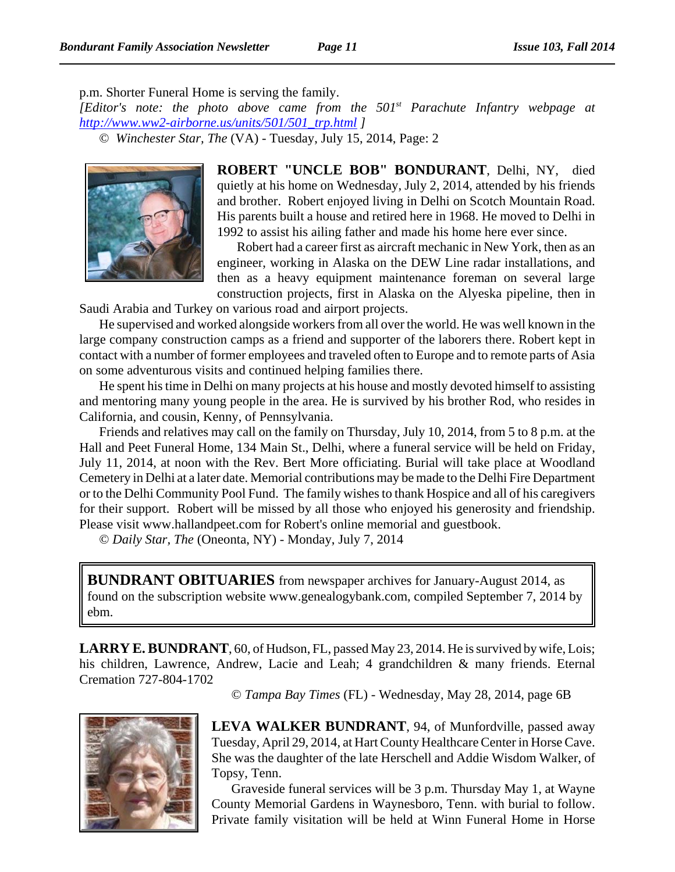p.m. Shorter Funeral Home is serving the family.

*[Editor's note: the photo above came from the 501st Parachute Infantry webpage at http://www.ww2-airborne.us/units/501/501\_trp.html ]*

© *Winchester Star, The* (VA) - Tuesday, July 15, 2014, Page: 2



**ROBERT "UNCLE BOB" BONDURANT**, Delhi, NY, died quietly at his home on Wednesday, July 2, 2014, attended by his friends and brother. Robert enjoyed living in Delhi on Scotch Mountain Road. His parents built a house and retired here in 1968. He moved to Delhi in 1992 to assist his ailing father and made his home here ever since.

Robert had a career first as aircraft mechanic in New York, then as an engineer, working in Alaska on the DEW Line radar installations, and then as a heavy equipment maintenance foreman on several large construction projects, first in Alaska on the Alyeska pipeline, then in

Saudi Arabia and Turkey on various road and airport projects.

He supervised and worked alongside workers from all over the world. He was well known in the large company construction camps as a friend and supporter of the laborers there. Robert kept in contact with a number of former employees and traveled often to Europe and to remote parts of Asia on some adventurous visits and continued helping families there.

He spent his time in Delhi on many projects at his house and mostly devoted himself to assisting and mentoring many young people in the area. He is survived by his brother Rod, who resides in California, and cousin, Kenny, of Pennsylvania.

Friends and relatives may call on the family on Thursday, July 10, 2014, from 5 to 8 p.m. at the Hall and Peet Funeral Home, 134 Main St., Delhi, where a funeral service will be held on Friday, July 11, 2014, at noon with the Rev. Bert More officiating. Burial will take place at Woodland Cemetery in Delhi at a later date. Memorial contributions may be made to the Delhi Fire Department or to the Delhi Community Pool Fund. The family wishes to thank Hospice and all of his caregivers for their support. Robert will be missed by all those who enjoyed his generosity and friendship. Please visit www.hallandpeet.com for Robert's online memorial and guestbook.

© *Daily Star, The* (Oneonta, NY) - Monday, July 7, 2014

**BUNDRANT OBITUARIES** from newspaper archives for January-August 2014, as found on the subscription website www.genealogybank.com, compiled September 7, 2014 by ebm.

**LARRY E. BUNDRANT**, 60, of Hudson, FL, passed May 23, 2014. He is survived by wife, Lois; his children, Lawrence, Andrew, Lacie and Leah; 4 grandchildren & many friends. Eternal Cremation 727-804-1702

© *Tampa Bay Times* (FL) - Wednesday, May 28, 2014, page 6B



**LEVA WALKER BUNDRANT**, 94, of Munfordville, passed away Tuesday, April 29, 2014, at Hart County Healthcare Center in Horse Cave. She was the daughter of the late Herschell and Addie Wisdom Walker, of Topsy, Tenn.

Graveside funeral services will be 3 p.m. Thursday May 1, at Wayne County Memorial Gardens in Waynesboro, Tenn. with burial to follow. Private family visitation will be held at Winn Funeral Home in Horse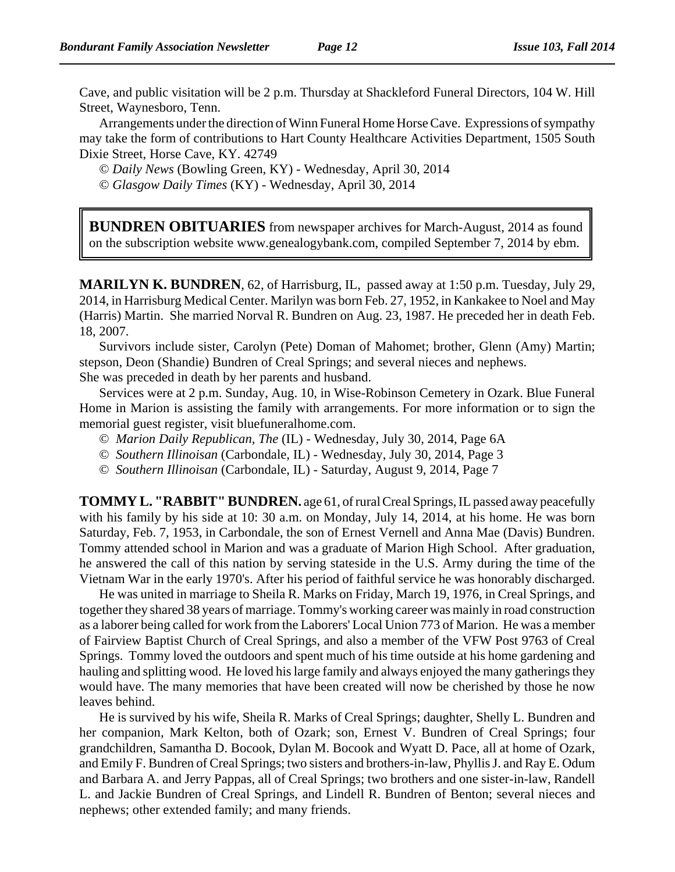Cave, and public visitation will be 2 p.m. Thursday at Shackleford Funeral Directors, 104 W. Hill Street, Waynesboro, Tenn.

Arrangements under the direction of Winn Funeral Home Horse Cave. Expressions of sympathy may take the form of contributions to Hart County Healthcare Activities Department, 1505 South Dixie Street, Horse Cave, KY. 42749

© *Daily News* (Bowling Green, KY) - Wednesday, April 30, 2014

© *Glasgow Daily Times* (KY) - Wednesday, April 30, 2014

**BUNDREN OBITUARIES** from newspaper archives for March-August, 2014 as found on the subscription website www.genealogybank.com, compiled September 7, 2014 by ebm.

**MARILYN K. BUNDREN**, 62, of Harrisburg, IL, passed away at 1:50 p.m. Tuesday, July 29, 2014, in Harrisburg Medical Center. Marilyn was born Feb. 27, 1952, in Kankakee to Noel and May (Harris) Martin. She married Norval R. Bundren on Aug. 23, 1987. He preceded her in death Feb. 18, 2007.

Survivors include sister, Carolyn (Pete) Doman of Mahomet; brother, Glenn (Amy) Martin; stepson, Deon (Shandie) Bundren of Creal Springs; and several nieces and nephews. She was preceded in death by her parents and husband.

Services were at 2 p.m. Sunday, Aug. 10, in Wise-Robinson Cemetery in Ozark. Blue Funeral Home in Marion is assisting the family with arrangements. For more information or to sign the memorial guest register, visit bluefuneralhome.com.

- © *Marion Daily Republican, The* (IL) Wednesday, July 30, 2014, Page 6A
- © *Southern Illinoisan* (Carbondale, IL) Wednesday, July 30, 2014, Page 3
- © *Southern Illinoisan* (Carbondale, IL) Saturday, August 9, 2014, Page 7

**TOMMY L. "RABBIT" BUNDREN.** age 61, of rural Creal Springs, IL passed away peacefully with his family by his side at 10: 30 a.m. on Monday, July 14, 2014, at his home. He was born Saturday, Feb. 7, 1953, in Carbondale, the son of Ernest Vernell and Anna Mae (Davis) Bundren. Tommy attended school in Marion and was a graduate of Marion High School. After graduation, he answered the call of this nation by serving stateside in the U.S. Army during the time of the Vietnam War in the early 1970's. After his period of faithful service he was honorably discharged.

He was united in marriage to Sheila R. Marks on Friday, March 19, 1976, in Creal Springs, and together they shared 38 years of marriage. Tommy's working career was mainly in road construction as a laborer being called for work from the Laborers' Local Union 773 of Marion. He was a member of Fairview Baptist Church of Creal Springs, and also a member of the VFW Post 9763 of Creal Springs. Tommy loved the outdoors and spent much of his time outside at his home gardening and hauling and splitting wood. He loved his large family and always enjoyed the many gatherings they would have. The many memories that have been created will now be cherished by those he now leaves behind.

He is survived by his wife, Sheila R. Marks of Creal Springs; daughter, Shelly L. Bundren and her companion, Mark Kelton, both of Ozark; son, Ernest V. Bundren of Creal Springs; four grandchildren, Samantha D. Bocook, Dylan M. Bocook and Wyatt D. Pace, all at home of Ozark, and Emily F. Bundren of Creal Springs; two sisters and brothers-in-law, Phyllis J. and Ray E. Odum and Barbara A. and Jerry Pappas, all of Creal Springs; two brothers and one sister-in-law, Randell L. and Jackie Bundren of Creal Springs, and Lindell R. Bundren of Benton; several nieces and nephews; other extended family; and many friends.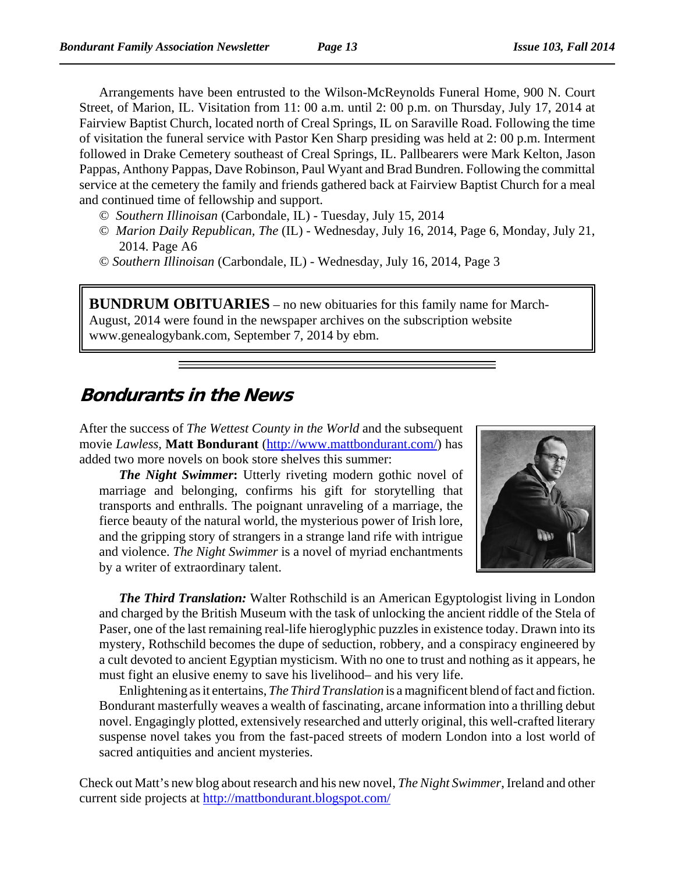Arrangements have been entrusted to the Wilson-McReynolds Funeral Home, 900 N. Court Street, of Marion, IL. Visitation from 11: 00 a.m. until 2: 00 p.m. on Thursday, July 17, 2014 at Fairview Baptist Church, located north of Creal Springs, IL on Saraville Road. Following the time of visitation the funeral service with Pastor Ken Sharp presiding was held at 2: 00 p.m. Interment followed in Drake Cemetery southeast of Creal Springs, IL. Pallbearers were Mark Kelton, Jason Pappas, Anthony Pappas, Dave Robinson, Paul Wyant and Brad Bundren. Following the committal service at the cemetery the family and friends gathered back at Fairview Baptist Church for a meal and continued time of fellowship and support.

- © *Southern Illinoisan* (Carbondale, IL) Tuesday, July 15, 2014
- © *Marion Daily Republican, The* (IL) Wednesday, July 16, 2014, Page 6, Monday, July 21, 2014. Page A6
- © *Southern Illinoisan* (Carbondale, IL) Wednesday, July 16, 2014, Page 3

**BUNDRUM OBITUARIES** – no new obituaries for this family name for March-August, 2014 were found in the newspaper archives on the subscription website www.genealogybank.com, September 7, 2014 by ebm.

### **Bondurants in the News**

After the success of *The Wettest County in the World* and the subsequent movie *Lawless,* **Matt Bondurant** (http://www.mattbondurant.com/) has added two more novels on book store shelves this summer:

*The Night Swimmer***:** Utterly riveting modern gothic novel of marriage and belonging, confirms his gift for storytelling that transports and enthralls. The poignant unraveling of a marriage, the fierce beauty of the natural world, the mysterious power of Irish lore, and the gripping story of strangers in a strange land rife with intrigue and violence. *The Night Swimmer* is a novel of myriad enchantments by a writer of extraordinary talent.



*The Third Translation:* Walter Rothschild is an American Egyptologist living in London and charged by the British Museum with the task of unlocking the ancient riddle of the Stela of Paser, one of the last remaining real-life hieroglyphic puzzles in existence today. Drawn into its mystery, Rothschild becomes the dupe of seduction, robbery, and a conspiracy engineered by a cult devoted to ancient Egyptian mysticism. With no one to trust and nothing as it appears, he must fight an elusive enemy to save his livelihood– and his very life.

Enlightening as it entertains, *The Third Translation* is a magnificent blend of fact and fiction. Bondurant masterfully weaves a wealth of fascinating, arcane information into a thrilling debut novel. Engagingly plotted, extensively researched and utterly original, this well-crafted literary suspense novel takes you from the fast-paced streets of modern London into a lost world of sacred antiquities and ancient mysteries.

Check out Matt's new blog about research and his new novel, *The Night Swimmer*, Ireland and other current side projects at http://mattbondurant.blogspot.com/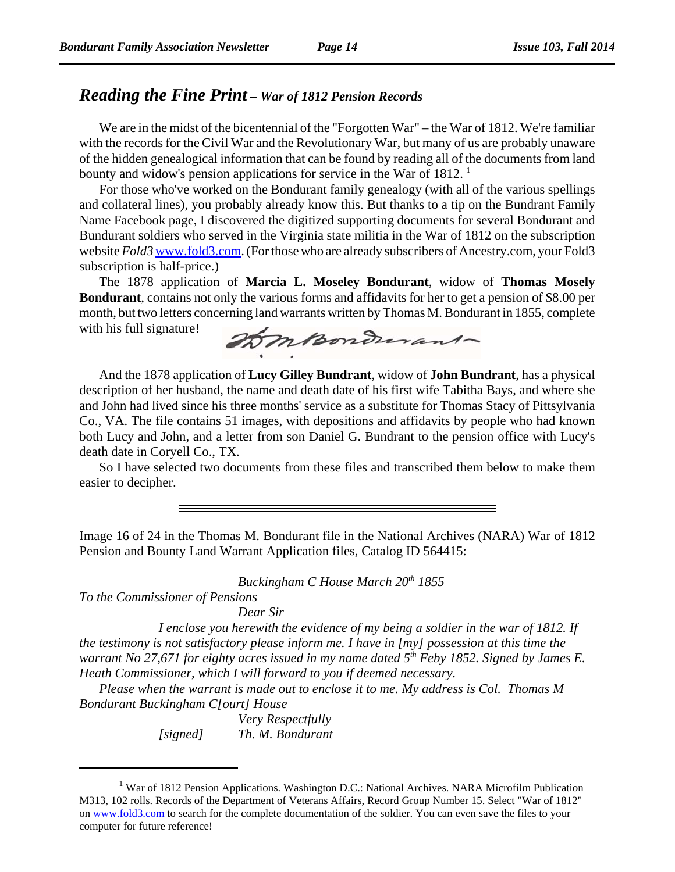### *Reading the Fine Print – War of 1812 Pension Records*

We are in the midst of the bicentennial of the "Forgotten War" – the War of 1812. We're familiar with the records for the Civil War and the Revolutionary War, but many of us are probably unaware of the hidden genealogical information that can be found by reading all of the documents from land bounty and widow's pension applications for service in the War of 1812.  $<sup>1</sup>$ </sup>

For those who've worked on the Bondurant family genealogy (with all of the various spellings and collateral lines), you probably already know this. But thanks to a tip on the Bundrant Family Name Facebook page, I discovered the digitized supporting documents for several Bondurant and Bundurant soldiers who served in the Virginia state militia in the War of 1812 on the subscription website *Fold3* www.fold3.com. (For those who are already subscribers of Ancestry.com, your Fold3 subscription is half-price.)

The 1878 application of **Marcia L. Moseley Bondurant**, widow of **Thomas Mosely Bondurant**, contains not only the various forms and affidavits for her to get a pension of \$8.00 per month, but two letters concerning land warrants written by Thomas M. Bondurant in 1855, complete with his full signature!

BomBondurant-

And the 1878 application of **Lucy Gilley Bundrant**, widow of **John Bundrant**, has a physical description of her husband, the name and death date of his first wife Tabitha Bays, and where she and John had lived since his three months' service as a substitute for Thomas Stacy of Pittsylvania Co., VA. The file contains 51 images, with depositions and affidavits by people who had known both Lucy and John, and a letter from son Daniel G. Bundrant to the pension office with Lucy's death date in Coryell Co., TX.

So I have selected two documents from these files and transcribed them below to make them easier to decipher.

Image 16 of 24 in the Thomas M. Bondurant file in the National Archives (NARA) War of 1812 Pension and Bounty Land Warrant Application files, Catalog ID 564415:

*Buckingham C House March 20<sup>th</sup> 1855* 

*To the Commissioner of Pensions*

*Dear Sir*

*I enclose you herewith the evidence of my being a soldier in the war of 1812. If the testimony is not satisfactory please inform me. I have in [my] possession at this time the warrant No 27,671 for eighty acres issued in my name dated 5<sup>th</sup> Feby 1852. Signed by James E. Heath Commissioner, which I will forward to you if deemed necessary.*

*Please when the warrant is made out to enclose it to me. My address is Col. Thomas M Bondurant Buckingham C[ourt] House*

> *Very Respectfully [signed] Th. M. Bondurant*

<sup>&</sup>lt;sup>1</sup> War of 1812 Pension Applications. Washington D.C.: National Archives. NARA Microfilm Publication M313, 102 rolls. Records of the Department of Veterans Affairs, Record Group Number 15. Select "War of 1812" on www.fold3.com to search for the complete documentation of the soldier. You can even save the files to your computer for future reference!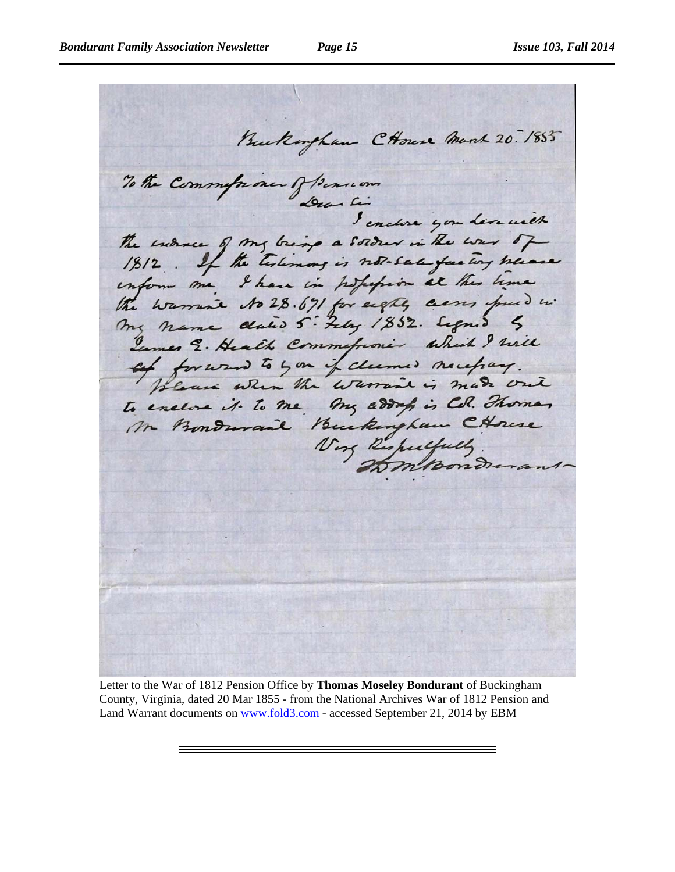Buckingham CHouse March 20. 185 To the Commission of Beaucon The indire of my bring a solder in the war of 1812. If the testimony is not-satisfied tony heave inform me, I have in popopion at this time the warrant to 28.671 for eight, cent fund in Tumes E. Health Commeforone which I will of forward to you if claimed necessary. to enclose it to me my address is Cd. Thomas Mr Bondward Buckingham CHouse Voy Respectfully

Letter to the War of 1812 Pension Office by **Thomas Moseley Bondurant** of Buckingham County, Virginia, dated 20 Mar 1855 - from the National Archives War of 1812 Pension and Land Warrant documents on www.fold3.com - accessed September 21, 2014 by EBM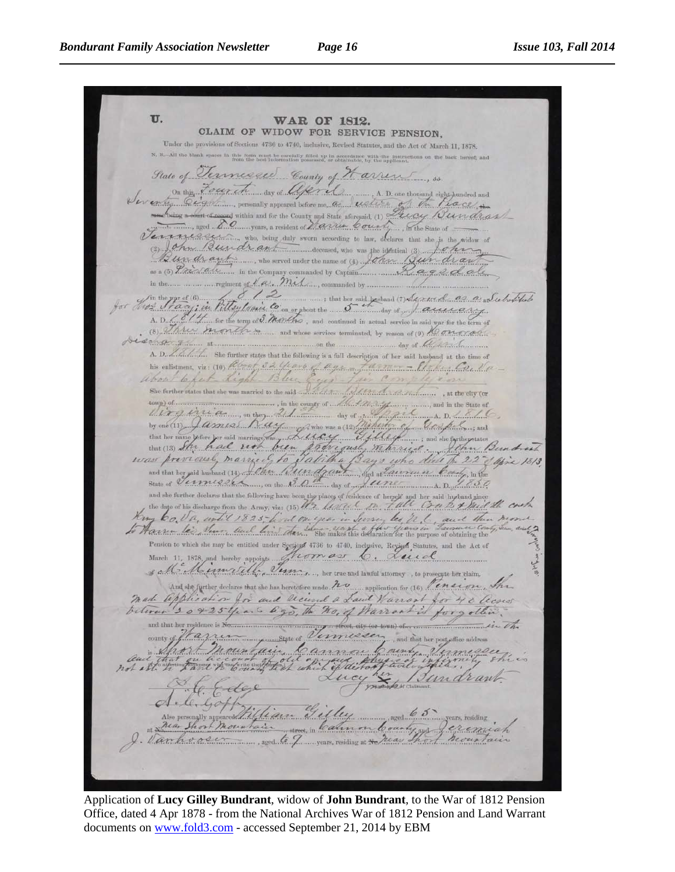U. **WAR OF 1812.** CLAIM OF WIDOW FOR SERVICE PENSION. Under the provisions of Sections 4736 to 4740, inclusive, Revised Statutes, and the Act of March 11, 1878. es in this form must be carefully filled up in accordance with the instruction from the best information possessed, or obtainable, by the upplicant. State of Vermisse arren County of M Grand Community appeared before me, and March 1999 for the Hostang engineered and Evey Bundras Vermiessur, who, being duly sworn necording to law, declares that she is the widow of Bundrant ...... , who served under the name of (3) Lohn Bundraw The part of the communities by the said probable of the communities of the communities of the communities of the communities of the communities of the communities of the communities of the communities of the communities of some grown at more communication of the morning of the distribution A. D. M. M. She further states that the following is a full description of her said husband at the time of this enlistment, viz: (10) Reference that the boundary is a full description of her said husband at the time of<br>a frace of the said the said of the said of the said of the said of the said of the said of the said of the sa town) of the country of Massachusetts and in the State of which is the state of the country of the Country of the Country of the Country of the Country of the Country of the Country of the Country of the Country of the Country of the Country of the Country of the Country of the C  $A D Z Z Q Q$ and she further declares that the following have been the places of residence of herself and her said hugband since the date of his discharge from the Army, viz: (15) 1/2. As the company of the contract of the Company of t my bo. Va, until 1825 lind on year in Survey les It . auch then mor to Harren les Sur and line than the makes this defendant for the purpose of obtaining the Pension to which she may be entitled under Section 4736 to 4740, inclusive, Revised Statutes, and the Act of March 11, 1878, and hereby appoints from as 6. Lued s Million Ville, Jum, her true and lawful attorney, to prosecute her claim, and the further declares that the has because made no ..... application for (36) Penecion, Shan Made William , Shand Warrant for 40 Access and that her residence is No. ain Cannon County Vermesse Mail Aley and /Jundrant aged  $65$ ars, residing learnon County gys aged to J. gears, residing at No May That Mountain

Application of **Lucy Gilley Bundrant**, widow of **John Bundrant**, to the War of 1812 Pension Office, dated 4 Apr 1878 - from the National Archives War of 1812 Pension and Land Warrant documents on www.fold3.com - accessed September 21, 2014 by EBM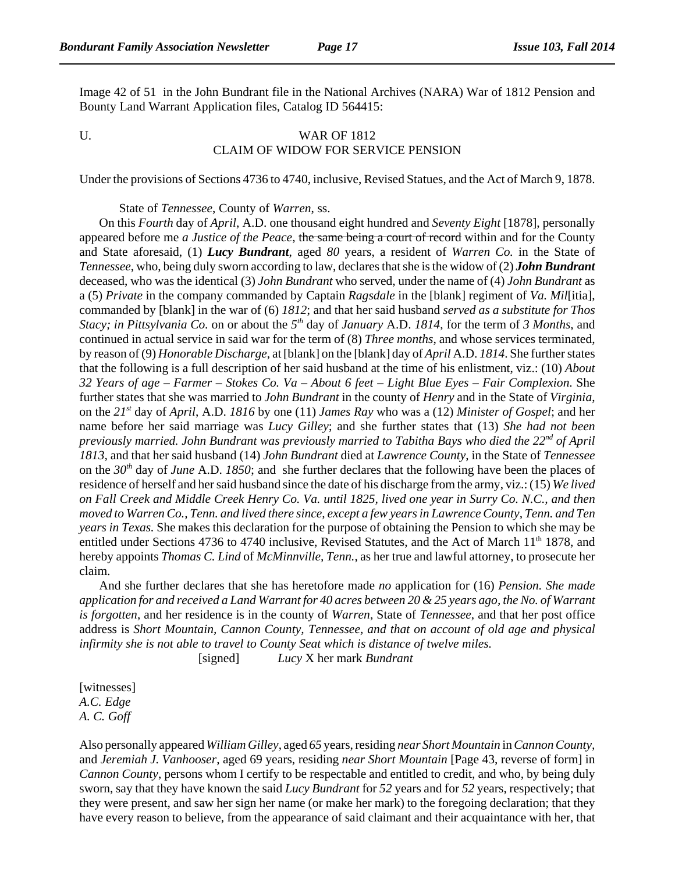Image 42 of 51 in the John Bundrant file in the National Archives (NARA) War of 1812 Pension and Bounty Land Warrant Application files, Catalog ID 564415:

#### U. WAR OF 1812 CLAIM OF WIDOW FOR SERVICE PENSION

Under the provisions of Sections 4736 to 4740, inclusive, Revised Statues, and the Act of March 9, 1878.

State of *Tennessee*, County of *Warren*, ss.

On this *Fourth* day of *April*, A.D. one thousand eight hundred and *Seventy Eight* [1878], personally appeared before me *a Justice of the Peace*, the same being a court of record within and for the County and State aforesaid, (1) *Lucy Bundrant*, aged *80* years, a resident of *Warren Co.* in the State of *Tennessee*, who, being duly sworn according to law, declares that she is the widow of (2) *John Bundrant* deceased, who was the identical (3) *John Bundrant* who served, under the name of (4) *John Bundrant* as a (5) *Private* in the company commanded by Captain *Ragsdale* in the [blank] regiment of *Va. Mil*[itia], commanded by [blank] in the war of (6) *1812*; and that her said husband *served as a substitute for Thos Stacy; in Pittsylvania Co.* on or about the *5th* day of *January* A.D. *1814*, for the term of *3 Months*, and continued in actual service in said war for the term of (8) *Three months*, and whose services terminated, by reason of (9) *Honorable Discharge*, at [blank] on the [blank] day of *April* A.D. *1814*. She further states that the following is a full description of her said husband at the time of his enlistment, viz.: (10) *About 32 Years of age – Farmer – Stokes Co. Va – About 6 feet – Light Blue Eyes – Fair Complexion*. She further states that she was married to *John Bundrant* in the county of *Henry* and in the State of *Virginia*, on the *21st* day of *April*, A.D. *1816* by one (11) *James Ray* who was a (12) *Minister of Gospel*; and her name before her said marriage was *Lucy Gilley*; and she further states that (13) *She had not been previously married. John Bundrant was previously married to Tabitha Bays who died the 22nd of April 1813,* and that her said husband (14) *John Bundrant* died at *Lawrence County*, in the State of *Tennessee* on the *30th* day of *June* A.D. *1850*; and she further declares that the following have been the places of residence of herself and her said husband since the date of his discharge from the army, viz.: (15) *We lived on Fall Creek and Middle Creek Henry Co. Va. until 1825, lived one year in Surry Co. N.C., and then moved to Warren Co., Tenn. and lived there since, except a few years in Lawrence County, Tenn. and Ten years in Texas.* She makes this declaration for the purpose of obtaining the Pension to which she may be entitled under Sections 4736 to 4740 inclusive, Revised Statutes, and the Act of March 11<sup>th</sup> 1878, and hereby appoints *Thomas C. Lind* of *McMinnville, Tenn.*, as her true and lawful attorney, to prosecute her claim.

And she further declares that she has heretofore made *no* application for (16) *Pension. She made application for and received a Land Warrant for 40 acres between 20 & 25 years ago, the No. of Warrant is forgotten*, and her residence is in the county of *Warren*, State of *Tennessee*, and that her post office address is *Short Mountain, Cannon County, Tennessee, and that on account of old age and physical infirmity she is not able to travel to County Seat which is distance of twelve miles.*

[signed] *Lucy* X her mark *Bundrant*

[witnesses] *A.C. Edge A. C. Goff*

Also personally appeared *William Gilley*, aged *65* years, residing *near Short Mountain* in *Cannon County,* and *Jeremiah J. Vanhooser*, aged 69 years, residing *near Short Mountain* [Page 43, reverse of form] in *Cannon County*, persons whom I certify to be respectable and entitled to credit, and who, by being duly sworn, say that they have known the said *Lucy Bundrant* for *52* years and for *52* years, respectively; that they were present, and saw her sign her name (or make her mark) to the foregoing declaration; that they have every reason to believe, from the appearance of said claimant and their acquaintance with her, that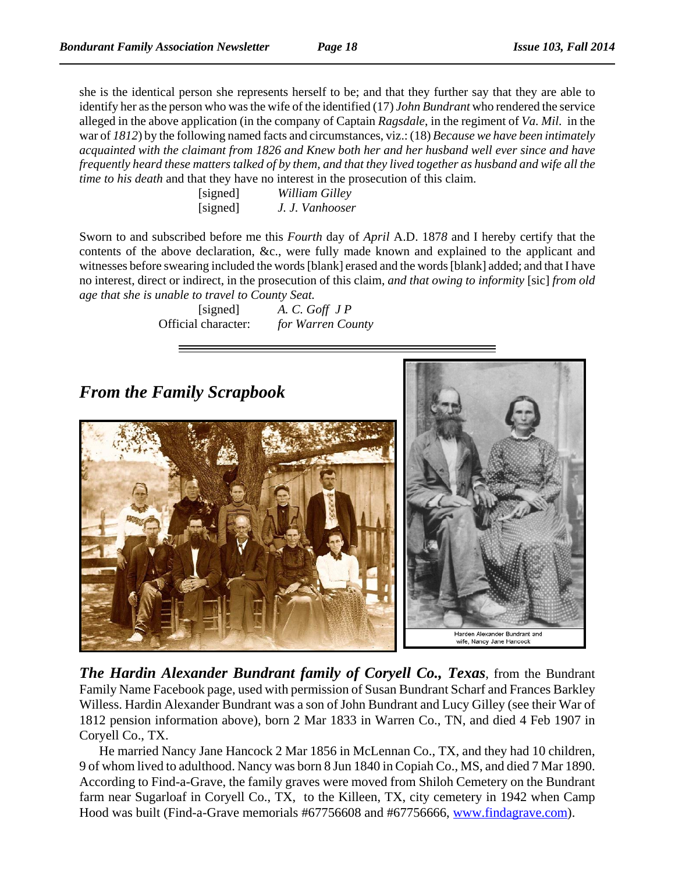she is the identical person she represents herself to be; and that they further say that they are able to identify her as the person who was the wife of the identified (17) *John Bundrant* who rendered the service alleged in the above application (in the company of Captain *Ragsdale*, in the regiment of *Va. Mil.* in the war of *1812*) by the following named facts and circumstances, viz.: (18) *Because we have been intimately acquainted with the claimant from 1826 and Knew both her and her husband well ever since and have frequently heard these matters talked of by them, and that they lived together as husband and wife all the time to his death* and that they have no interest in the prosecution of this claim.

| [signed] | William Gilley  |
|----------|-----------------|
| [signed] | J. J. Vanhooser |

Sworn to and subscribed before me this *Fourth* day of *April* A.D. 187*8* and I hereby certify that the contents of the above declaration, &c., were fully made known and explained to the applicant and witnesses before swearing included the words [blank] erased and the words [blank] added; and that I have no interest, direct or indirect, in the prosecution of this claim, *and that owing to informity* [sic] *from old age that she is unable to travel to County Seat.*

> [signed] *A. C. Goff J P* Official character: *for Warren County*

# *From the Family Scrapbook*



Harden Alexander Bundrant and wife, Nancy Jane Hancock

*The Hardin Alexander Bundrant family of Coryell Co., Texas*, from the Bundrant Family Name Facebook page, used with permission of Susan Bundrant Scharf and Frances Barkley Willess. Hardin Alexander Bundrant was a son of John Bundrant and Lucy Gilley (see their War of 1812 pension information above), born 2 Mar 1833 in Warren Co., TN, and died 4 Feb 1907 in Coryell Co., TX.

He married Nancy Jane Hancock 2 Mar 1856 in McLennan Co., TX, and they had 10 children, 9 of whom lived to adulthood. Nancy was born 8 Jun 1840 in Copiah Co., MS, and died 7 Mar 1890. According to Find-a-Grave, the family graves were moved from Shiloh Cemetery on the Bundrant farm near Sugarloaf in Coryell Co., TX, to the Killeen, TX, city cemetery in 1942 when Camp Hood was built (Find-a-Grave memorials #67756608 and #67756666, www.findagrave.com).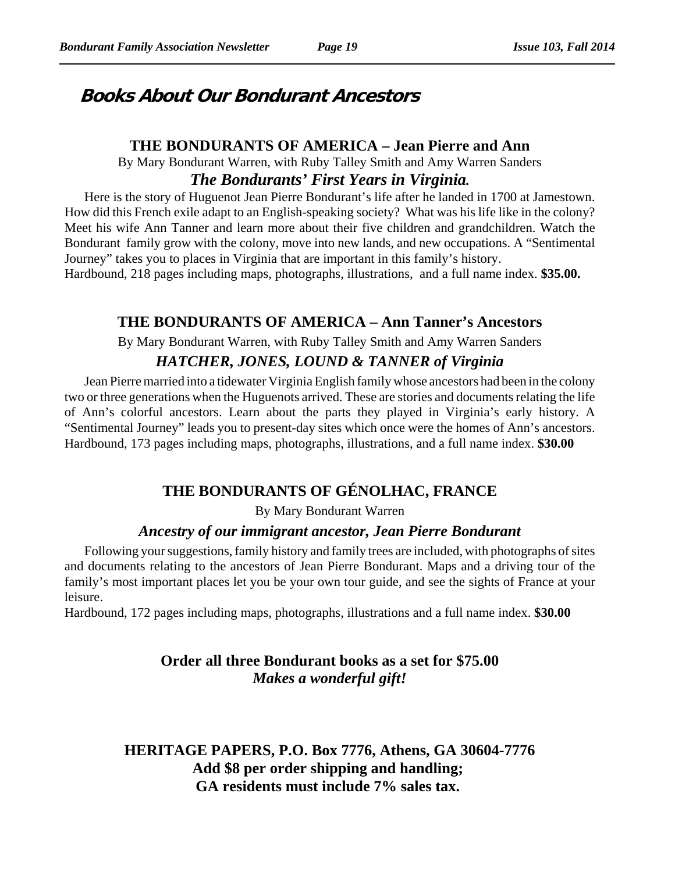# **Books About Our Bondurant Ancestors**

#### **THE BONDURANTS OF AMERICA – Jean Pierre and Ann**

By Mary Bondurant Warren, with Ruby Talley Smith and Amy Warren Sanders *The Bondurants' First Years in Virginia.*

Here is the story of Huguenot Jean Pierre Bondurant's life after he landed in 1700 at Jamestown. How did this French exile adapt to an English-speaking society? What was his life like in the colony? Meet his wife Ann Tanner and learn more about their five children and grandchildren. Watch the Bondurant family grow with the colony, move into new lands, and new occupations. A "Sentimental Journey" takes you to places in Virginia that are important in this family's history.

Hardbound, 218 pages including maps, photographs, illustrations, and a full name index. **\$35.00.** 

#### **THE BONDURANTS OF AMERICA – Ann Tanner's Ancestors**

By Mary Bondurant Warren, with Ruby Talley Smith and Amy Warren Sanders

### *HATCHER, JONES, LOUND & TANNER of Virginia*

Jean Pierre married into a tidewater Virginia English family whose ancestors had been in the colony two or three generations when the Huguenots arrived. These are stories and documents relating the life of Ann's colorful ancestors. Learn about the parts they played in Virginia's early history. A "Sentimental Journey" leads you to present-day sites which once were the homes of Ann's ancestors. Hardbound, 173 pages including maps, photographs, illustrations, and a full name index. **\$30.00**

# **THE BONDURANTS OF GÉNOLHAC, FRANCE**

By Mary Bondurant Warren

#### *Ancestry of our immigrant ancestor, Jean Pierre Bondurant*

Following your suggestions, family history and family trees are included, with photographs of sites and documents relating to the ancestors of Jean Pierre Bondurant. Maps and a driving tour of the family's most important places let you be your own tour guide, and see the sights of France at your leisure.

Hardbound, 172 pages including maps, photographs, illustrations and a full name index. **\$30.00**

### **Order all three Bondurant books as a set for \$75.00** *Makes a wonderful gift!*

**HERITAGE PAPERS, P.O. Box 7776, Athens, GA 30604-7776 Add \$8 per order shipping and handling; GA residents must include 7% sales tax.**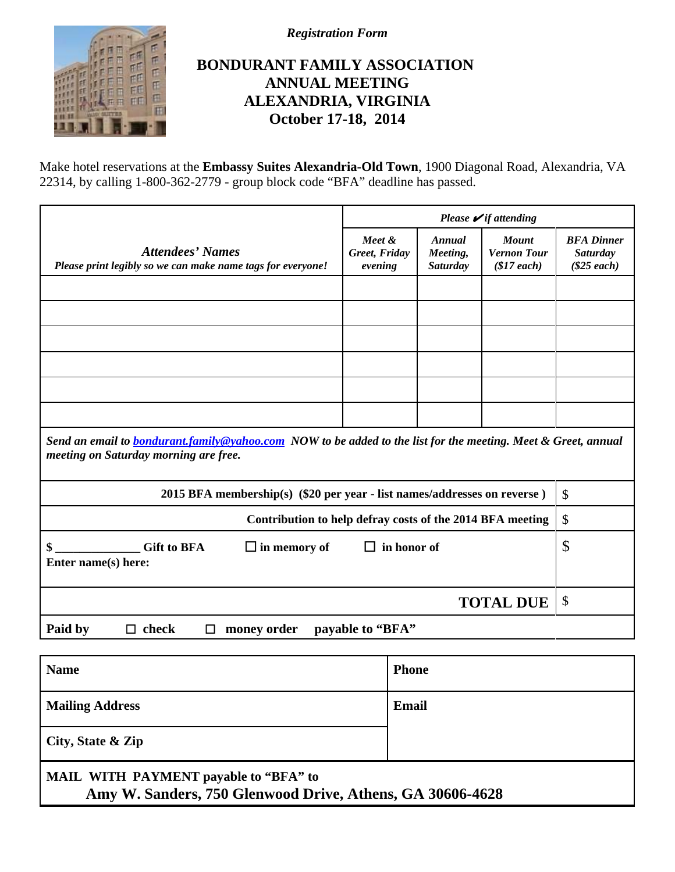

*Registration Form*

# **BONDURANT FAMILY ASSOCIATION ANNUAL MEETING ALEXANDRIA, VIRGINIA October 17-18, 2014**

Make hotel reservations at the **Embassy Suites Alexandria-Old Town**, 1900 Diagonal Road, Alexandria, VA 22314, by calling 1-800-362-2779 - group block code "BFA" deadline has passed.

|                                                                                                                                                               | Please $\mathcal{V}$ if attending  |                                       |                                                  |                                                       |
|---------------------------------------------------------------------------------------------------------------------------------------------------------------|------------------------------------|---------------------------------------|--------------------------------------------------|-------------------------------------------------------|
| <b>Attendees' Names</b><br>Please print legibly so we can make name tags for everyone!                                                                        | Meet &<br>Greet, Friday<br>evening | Annual<br>Meeting,<br><b>Saturday</b> | <b>Mount</b><br><b>Vernon Tour</b><br>\$17 each) | <b>BFA</b> Dinner<br><b>Saturday</b><br>$(\$25$ each) |
|                                                                                                                                                               |                                    |                                       |                                                  |                                                       |
|                                                                                                                                                               |                                    |                                       |                                                  |                                                       |
|                                                                                                                                                               |                                    |                                       |                                                  |                                                       |
|                                                                                                                                                               |                                    |                                       |                                                  |                                                       |
|                                                                                                                                                               |                                    |                                       |                                                  |                                                       |
|                                                                                                                                                               |                                    |                                       |                                                  |                                                       |
| Send an email to <b>bondurant.family@yahoo.com</b> NOW to be added to the list for the meeting. Meet & Greet, annual<br>meeting on Saturday morning are free. |                                    |                                       |                                                  |                                                       |
| 2015 BFA membership(s) (\$20 per year - list names/addresses on reverse)                                                                                      |                                    |                                       |                                                  | \$                                                    |
| Contribution to help defray costs of the 2014 BFA meeting                                                                                                     |                                    |                                       |                                                  | $\mathcal{S}$                                         |
| <b>Gift to BFA</b><br>$\Box$ in memory of<br>$\Box$ in honor of<br>\$<br>Enter name(s) here:                                                                  |                                    | \$                                    |                                                  |                                                       |
|                                                                                                                                                               |                                    |                                       |                                                  |                                                       |
|                                                                                                                                                               |                                    |                                       | <b>TOTAL DUE</b>                                 | \$                                                    |
| Paid by<br>$\Box$ check<br>money order<br>□                                                                                                                   | payable to "BFA"                   |                                       |                                                  |                                                       |
| <b>Name</b>                                                                                                                                                   | <b>Phone</b>                       |                                       |                                                  |                                                       |

**City, State & Zip**

# **MAIL WITH PAYMENT payable to "BFA" to Amy W. Sanders, 750 Glenwood Drive, Athens, GA 30606-4628**

**Mailing Address** Email